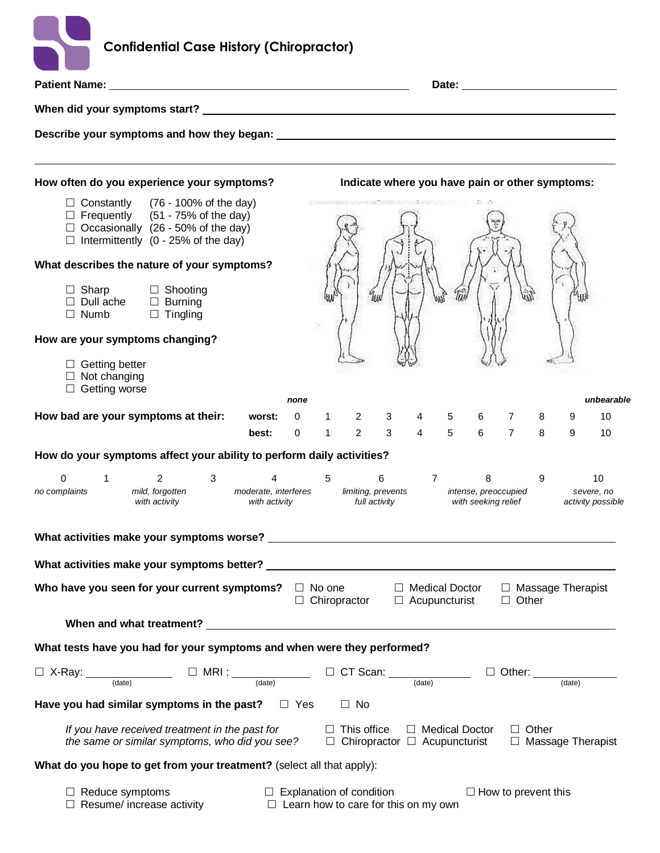| <b>Confidential Case History (Chiropractor)</b>                                                                                                                                          |                                       |                                                                                                                                                                                                                               |                         |                |             |   |                                                                                                                                                                                                                                |              |   |                                       |
|------------------------------------------------------------------------------------------------------------------------------------------------------------------------------------------|---------------------------------------|-------------------------------------------------------------------------------------------------------------------------------------------------------------------------------------------------------------------------------|-------------------------|----------------|-------------|---|--------------------------------------------------------------------------------------------------------------------------------------------------------------------------------------------------------------------------------|--------------|---|---------------------------------------|
|                                                                                                                                                                                          |                                       |                                                                                                                                                                                                                               |                         |                |             |   | Date: the contract of the contract of the contract of the contract of the contract of the contract of the contract of the contract of the contract of the contract of the contract of the contract of the contract of the cont |              |   |                                       |
|                                                                                                                                                                                          |                                       |                                                                                                                                                                                                                               |                         |                |             |   |                                                                                                                                                                                                                                |              |   |                                       |
|                                                                                                                                                                                          |                                       |                                                                                                                                                                                                                               |                         |                |             |   |                                                                                                                                                                                                                                |              |   |                                       |
| How often do you experience your symptoms?                                                                                                                                               |                                       | Indicate where you have pain or other symptoms:                                                                                                                                                                               |                         |                |             |   |                                                                                                                                                                                                                                |              |   |                                       |
| $\Box$ Constantly (76 - 100% of the day)<br>$\Box$ Frequently (51 - 75% of the day)<br>$\Box$ Occasionally (26 - 50% of the day)<br>$\Box$ Intermittently (0 - 25% of the day)           |                                       | THE PARTNER OF THE REPORT OF THE REPORT OF THE REPORT OF THE REPORT OF THE REPORT OF THE REPORT OF THE REPORT OF THE REPORT OF THE REPORT OF THE REPORT OF THE REPORT OF THE REPORT OF THE REPORT OF THE REPORT OF THE REPORT |                         |                |             |   |                                                                                                                                                                                                                                |              |   |                                       |
| What describes the nature of your symptoms?                                                                                                                                              |                                       |                                                                                                                                                                                                                               |                         |                |             |   |                                                                                                                                                                                                                                |              |   |                                       |
| $\Box$ Sharp<br>□ Shooting<br>$\Box$ Dull ache<br>$\Box$ Burning<br>$\Box$ Tingling<br>$\Box$ Numb                                                                                       |                                       |                                                                                                                                                                                                                               |                         |                |             |   |                                                                                                                                                                                                                                |              |   |                                       |
| How are your symptoms changing?                                                                                                                                                          |                                       |                                                                                                                                                                                                                               |                         |                |             |   |                                                                                                                                                                                                                                |              |   |                                       |
| $\Box$ Getting better<br>$\Box$ Not changing<br>$\Box$ Getting worse                                                                                                                     | none                                  |                                                                                                                                                                                                                               |                         |                |             |   |                                                                                                                                                                                                                                |              |   | unbearable                            |
| How bad are your symptoms at their:                                                                                                                                                      | worst:                                | $0 \quad 1$                                                                                                                                                                                                                   | $2 \qquad 3$            | $4 \quad$      | $5^{\circ}$ | 6 | 7                                                                                                                                                                                                                              | 8            | 9 | 10                                    |
|                                                                                                                                                                                          | best:<br>$\Omega$                     | $1 \qquad 2 \qquad 3$                                                                                                                                                                                                         |                         |                | $4\quad 5$  |   | 6 7                                                                                                                                                                                                                            | 8            | 9 | 10                                    |
| How do your symptoms affect your ability to perform daily activities?                                                                                                                    |                                       |                                                                                                                                                                                                                               |                         |                |             |   |                                                                                                                                                                                                                                |              |   |                                       |
| $\overline{2}$<br>0<br>1<br>3<br>mild, forgotten<br>no complaints<br>with activity                                                                                                       | moderate, interferes<br>with activity | 5<br>full activity                                                                                                                                                                                                            | 6<br>limiting, prevents | $\overline{7}$ |             | 8 | intense, preoccupied<br>with seeking relief                                                                                                                                                                                    | 9            |   | 10<br>severe, no<br>activity possible |
|                                                                                                                                                                                          |                                       |                                                                                                                                                                                                                               |                         |                |             |   |                                                                                                                                                                                                                                |              |   |                                       |
|                                                                                                                                                                                          |                                       |                                                                                                                                                                                                                               |                         |                |             |   |                                                                                                                                                                                                                                |              |   |                                       |
| Who have you seen for your current symptoms? $\Box$ No one $\Box$ Medical Doctor $\Box$ Massage Therapist                                                                                |                                       | $\Box$ Chiropractor $\Box$ Acupuncturist                                                                                                                                                                                      |                         |                |             |   | $\Box$ Other                                                                                                                                                                                                                   |              |   |                                       |
|                                                                                                                                                                                          |                                       |                                                                                                                                                                                                                               |                         |                |             |   |                                                                                                                                                                                                                                |              |   |                                       |
| What tests have you had for your symptoms and when were they performed?                                                                                                                  |                                       |                                                                                                                                                                                                                               |                         |                |             |   |                                                                                                                                                                                                                                |              |   |                                       |
| $\Box$ X-Ray: $\frac{1}{(date)}$ $\Box$ MRI: $\frac{1}{(date)}$ $\Box$ CT Scan: $\frac{1}{(date)}$ $\Box$ Other: $\frac{1}{(date)}$                                                      |                                       |                                                                                                                                                                                                                               |                         |                |             |   |                                                                                                                                                                                                                                |              |   |                                       |
| Have you had similar symptoms in the past? $\square$ Yes                                                                                                                                 |                                       | $\Box$ No                                                                                                                                                                                                                     |                         |                |             |   |                                                                                                                                                                                                                                |              |   |                                       |
| If you have received treatment in the past for $\square$ This office $\square$ Medical Doctor<br>the same or similar symptoms, who did you see? $\Box$ Chiropractor $\Box$ Acupuncturist |                                       |                                                                                                                                                                                                                               |                         |                |             |   |                                                                                                                                                                                                                                | $\Box$ Other |   | □ Massage Therapist                   |
| What do you hope to get from your treatment? (select all that apply):                                                                                                                    |                                       |                                                                                                                                                                                                                               |                         |                |             |   |                                                                                                                                                                                                                                |              |   |                                       |
| $\Box$ Reduce symptoms $\Box$ Explanation of condition<br>$\Box$ Resume/ increase activity $\Box$ Learn how to care for this on my own                                                   |                                       |                                                                                                                                                                                                                               |                         |                |             |   | $\Box$ How to prevent this                                                                                                                                                                                                     |              |   |                                       |